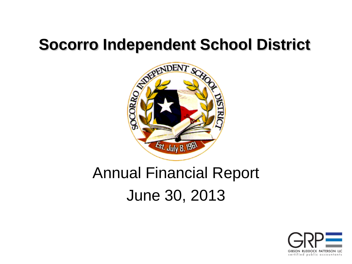

# Annual Financial Report June 30, 2013

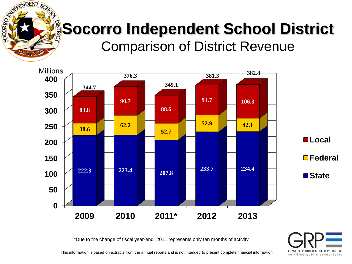# **Socorro Independent School District** Comparison of District Revenue

**EPENDENT SC** 

Est. July 8, 1961

SOCORRO



\*Due to the change of fiscal year-end, 2011 represents only ten months of activity.

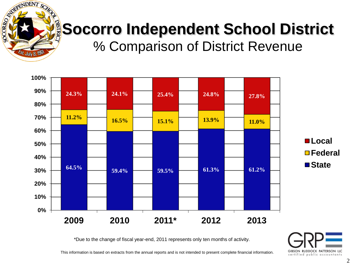

# **Socorro Independent School District**

% Comparison of District Revenue



\*Due to the change of fiscal year-end, 2011 represents only ten months of activity.

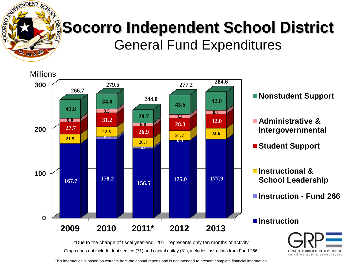

## **Socorro Independent School District** General Fund Expenditures



GIBSON RUDDOCK PATTERSON LLC certified public accountants

Graph does not include debt service (71) and capital outlay (81), includes instruction from Fund 266.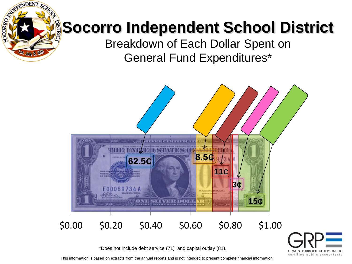# **Socorro Independent School District**

**RENDENT SC** 

Est. July 8, 1961

**SOCORRO** 

Breakdown of Each Dollar Spent on General Fund Expenditures\*





GIBSON RUDDOCK PATTERSON LLC certified public accountants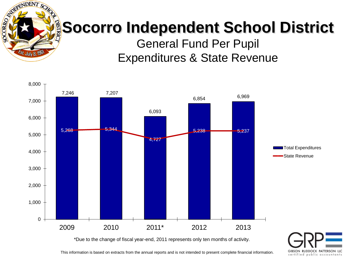

# **Socorro Independent School District**

General Fund Per Pupil Expenditures & State Revenue



GIBSON RUDDOCK PATTERSON LLC certified public accountants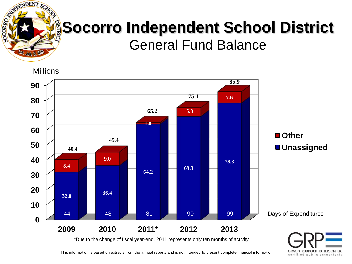

#### **Socorro Independent School District** General Fund Balance

**Millions** 



This information is based on extracts from the annual reports and is not intended to present complete financial information.

GIBSON RUDDOCK PATTERSON LLC certified public accountants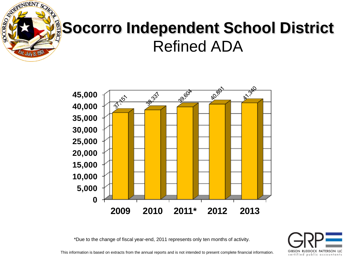

## **Socorro Independent School District** Refined ADA



\*Due to the change of fiscal year-end, 2011 represents only ten months of activity.